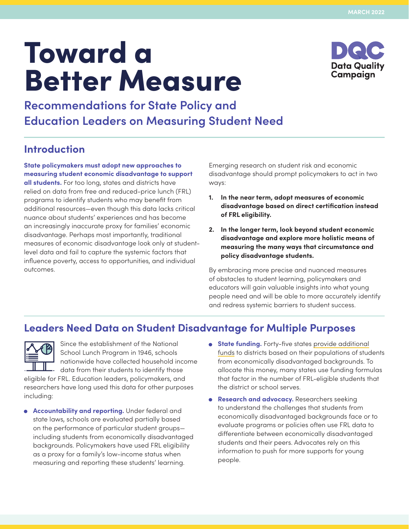# Toward a Better Measure



**Recommendations for State Policy and Education Leaders on Measuring Student Need**

# **Introduction**

**State policymakers must adopt new approaches to measuring student economic disadvantage to support all students.** For too long, states and districts have relied on data from free and reduced-price lunch (FRL) programs to identify students who may benefit from additional resources—even though this data lacks critical nuance about students' experiences and has become an increasingly inaccurate proxy for families' economic disadvantage. Perhaps most importantly, traditional measures of economic disadvantage look only at studentlevel data and fail to capture the systemic factors that influence poverty, access to opportunities, and individual outcomes.

Emerging research on student risk and economic disadvantage should prompt policymakers to act in two ways:

- **1. In the near term, adopt measures of economic disadvantage based on direct certification instead of FRL eligibility.**
- **2. In the longer term, look beyond student economic disadvantage and explore more holistic means of measuring the many ways that circumstance and policy disadvantage students.**

By embracing more precise and nuanced measures of obstacles to student learning, policymakers and educators will gain valuable insights into what young people need and will be able to more accurately identify and redress systemic barriers to student success.

# **Leaders Need Data on Student Disadvantage for Multiple Purposes**



Since the establishment of the National School Lunch Program in 1946, schools nationwide have collected household income data from their students to identify those

eligible for FRL. Education leaders, policymakers, and researchers have long used this data for other purposes including:

- **Accountability and reporting.** Under federal and state laws, schools are evaluated partially based on the performance of particular student groups including students from economically disadvantaged backgrounds. Policymakers have used FRL eligibility as a proxy for a family's low-income status when measuring and reporting these students' learning.
- **State funding.** Forty-five states [provide additional](http://funded.edbuild.org/national#poverty) [funds](http://funded.edbuild.org/national#poverty) to districts based on their populations of students from economically disadvantaged backgrounds. To allocate this money, many states use funding formulas that factor in the number of FRL-eligible students that the district or school serves.
- **Research and advocacy.** Researchers seeking to understand the challenges that students from economically disadvantaged backgrounds face or to evaluate programs or policies often use FRL data to differentiate between economically disadvantaged students and their peers. Advocates rely on this information to push for more supports for young people.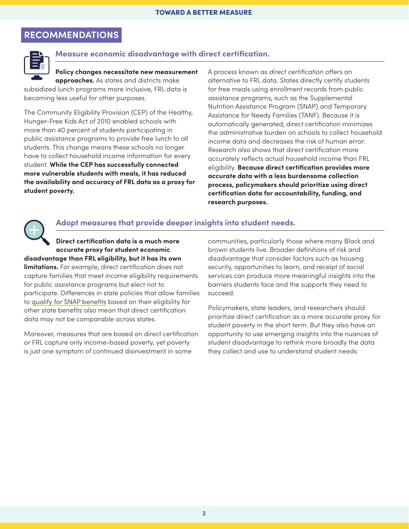## **RECOMMENDATIONS**



#### **Measure economic disadvantage with direct certification.**

#### **Policy changes necessitate new measurement approaches.** As states and districts make

subsidized lunch programs more inclusive, FRL data is becoming less useful for other purposes.

The Community Eligibility Provision (CEP) of the Healthy, Hunger-Free Kids Act of 2010 enabled schools with more than 40 percent of students participating in public assistance programs to provide free lunch to all students. This change means these schools no longer have to collect household income information for every student. **While the CEP has successfully connected more vulnerable students with meals, it has reduced the availability and accuracy of FRL data as a proxy for student poverty.**

A process known as *direct certification* offers an alternative to FRL data. States directly certify students for free meals using enrollment records from public assistance programs, such as the Supplemental Nutrition Assistance Program (SNAP) and Temporary Assistance for Needy Families (TANF). Because it is automatically generated, direct certification minimizes the administrative burden on schools to collect household income data and decreases the risk of human error. Research also shows that direct certification more accurately reflects actual household income than FRL eligibility. **Because direct certification provides more accurate data with a less burdensome collection process, policymakers should prioritize using direct certification data for accountability, funding, and research purposes.**



#### **Adopt measures that provide deeper insights into student needs.**

**Direct certification data is a much more accurate proxy for student economic disadvantage than FRL eligibility, but it has its own** 

**limitations.** For example, direct certification does not capture families that meet income eligibility requirements for public assistance programs but elect not to participate. Differences in state policies that allow families to [qualify for SNAP benefits](https://www.fns.usda.gov/snap/broad-based-categorical-eligibility) based on their eligibility for other state benefits also mean that direct certification data may not be comparable across states.

Moreover, measures that are based on direct certification or FRL capture only income-based poverty, yet poverty is just one symptom of continued disinvestment in some

communities, particularly those where many Black and brown students live. Broader definitions of risk and disadvantage that consider factors such as housing security, opportunities to learn, and receipt of social services can produce more meaningful insights into the barriers students face and the supports they need to succeed.

Policymakers, state leaders, and researchers should prioritize direct certification as a more accurate proxy for student poverty in the short term. But they also have an opportunity to use emerging insights into the nuances of student disadvantage to rethink more broadly the data they collect and use to understand student needs.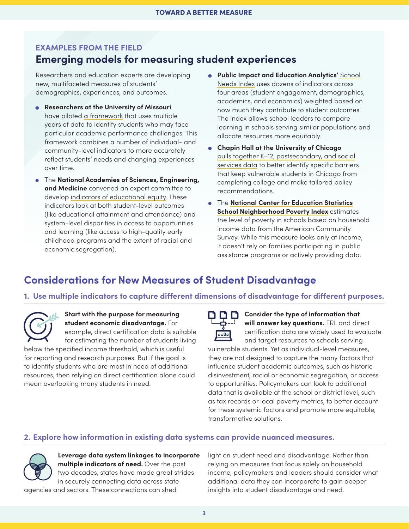## **EXAMPLES FROM THE FIELD Emerging models for measuring student experiences**

Researchers and education experts are developing new, multifaceted measures of students' demographics, experiences, and outcomes.

- **Researchers at the University of Missouri** have piloted [a framework](https://caldercenter.org/publications/new-framework-identifying-risk-students-public-schools) that uses multiple years of data to identify students who may face particular academic performance challenges. This framework combines a number of individual- and community-level indicators to more accurately reflect students' needs and changing experiences over time.
- The **National Academies of Sciences, Engineering, and Medicine** convened an expert committee to develop [indicators of educational equity](https://www.nationalacademies.org/our-work/developing-indicators-of-educational-equity). These indicators look at both student-level outcomes (like educational attainment and attendance) and system-level disparities in access to opportunities and learning (like access to high-quality early childhood programs and the extent of racial and economic segregation).
- **Public Impact and Education Analytics'** [School](https://publicimpact.com/wp-content/uploads/2021/03/Identifying_Schools_Achieving_Great_Results_with_Highest-Need_Students.pdf) [Needs Index](https://publicimpact.com/wp-content/uploads/2021/03/Identifying_Schools_Achieving_Great_Results_with_Highest-Need_Students.pdf) uses dozens of indicators across four areas (student engagement, demographics, academics, and economics) weighted based on how much they contribute to student outcomes. The index allows school leaders to compare learning in schools serving similar populations and allocate resources more equitably.
- **Chapin Hall at the University of Chicago** [pulls together K–12, postsecondary, and social](https://www.chapinhall.org/wp-content/uploads/Issue_Brief_PostSecondaryEducation_Enrollment_Persistence.pdf) [services data](https://www.chapinhall.org/wp-content/uploads/Issue_Brief_PostSecondaryEducation_Enrollment_Persistence.pdf) to better identify specific barriers that keep vulnerable students in Chicago from completing college and make tailored policy recommendations.
- The **[National Center for Education Statistics](https://nces.ed.gov/programs/edge/Economic/NeighborhoodPoverty) [School Neighborhood Poverty Index](https://nces.ed.gov/programs/edge/Economic/NeighborhoodPoverty)** estimates the level of poverty in schools based on household income data from the American Community Survey. While this measure looks only at income, it doesn't rely on families participating in public assistance programs or actively providing data.

# **Considerations for New Measures of Student Disadvantage**

#### **1. Use multiple indicators to capture different dimensions of disadvantage for different purposes.**

#### **Start with the purpose for measuring student economic disadvantage.** For example, direct certification data is suitable for estimating the number of students living

below the specified income threshold, which is useful for reporting and research purposes. But if the goal is to identify students who are most in need of additional resources, then relying on direct certification alone could mean overlooking many students in need.

| á                     |  |
|-----------------------|--|
| $\blacksquare$<br>oaU |  |

#### **Consider the type of information that will answer key questions.** FRL and direct certification data are widely used to evaluate

and target resources to schools serving vulnerable students. Yet as individual-level measures, they are not designed to capture the many factors that influence student academic outcomes, such as historic disinvestment, racial or economic segregation, or access to opportunities. Policymakers can look to additional data that is available at the school or district level, such as tax records or local poverty metrics, to better account for these systemic factors and promote more equitable, transformative solutions.

#### **2. Explore how information in existing data systems can provide nuanced measures.**



**Leverage data system linkages to incorporate multiple indicators of need.** Over the past two decades, states have made great strides in securely connecting data across state

agencies and sectors. These connections can shed

light on student need and disadvantage. Rather than relying on measures that focus solely on household income, policymakers and leaders should consider what additional data they can incorporate to gain deeper insights into student disadvantage and need.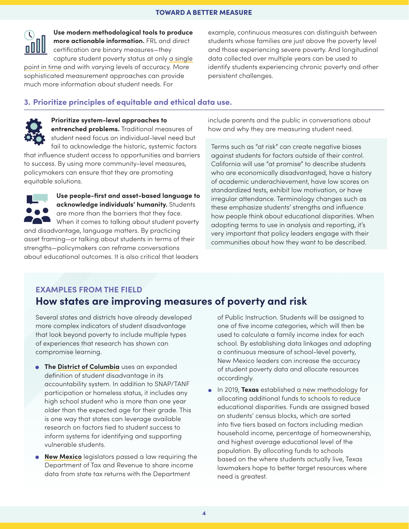

**Use modern methodological tools to produce more actionable information.** FRL and direct certification are binary measures—they capture student poverty status at only [a single](https://www.nytimes.com/2016/08/14/upshot/why-american-schools-are-even-more-unequal-than-we-thought.html)

[point in time](https://www.nytimes.com/2016/08/14/upshot/why-american-schools-are-even-more-unequal-than-we-thought.html) and with varying levels of accuracy. More sophisticated measurement approaches can provide much more information about student needs. For

example, continuous measures can distinguish between students whose families are just above the poverty level and those experiencing severe poverty. And longitudinal data collected over multiple years can be used to identify students experiencing chronic poverty and other persistent challenges.

#### **3. Prioritize principles of equitable and ethical data use.**



#### **Prioritize system-level approaches to entrenched problems.** Traditional measures of student need focus on individual-level need but

fail to acknowledge the historic, systemic factors that influence student access to opportunities and barriers to success. By using more community-level measures, policymakers can ensure that they are promoting equitable solutions.



**Use people-first and asset-based language to acknowledge individuals' humanity.** Students are more than the barriers that they face. When it comes to talking about student poverty and disadvantage, language matters. By practicing asset framing—or talking about students in terms of their strengths—policymakers can reframe conversations about educational outcomes. It is also critical that leaders

include parents and the public in conversations about how and why they are measuring student need.

Terms such as "at risk" can create negative biases against students for factors outside of their control. California will use "at promise" to describe students who are economically disadvantaged, have a history of academic underachievement, have low scores on standardized tests, exhibit low motivation, or have irregular attendance. Terminology changes such as these emphasize students' strengths and influence how people think about educational disparities. When adopting terms to use in analysis and reporting, it's very important that policy leaders engage with their communities about how they want to be described.

### **EXAMPLES FROM THE FIELD How states are improving measures of poverty and risk**

Several states and districts have already developed more complex indicators of student disadvantage that look beyond poverty to include multiple types of experiences that research has shown can

compromise learning. **• The [District of Columbia](https://osse.dc.gov/sites/default/files/dc/sites/osse/publication/attachments/2018%20DC%20School%20Report%20Card%20and%20STAR%20Framework%20Technical%20Guide.pdf)** uses an expanded definition of student disadvantage in its

- accountability system. In addition to SNAP/TANF participation or homeless status, it includes any high school student who is more than one year older than the expected age for their grade. This is one way that states can leverage available research on factors tied to student success to inform systems for identifying and supporting vulnerable students.
- **[New Mexico](https://www.nmlegis.gov/Sessions/21%20Regular/final/SB0017.pdf)** legislators passed a law requiring the Department of Tax and Revenue to share income data from state tax returns with the Department

of Public Instruction. Students will be assigned to one of five income categories, which will then be used to calculate a family income index for each school. By establishing data linkages and adopting a continuous measure of school-level poverty, New Mexico leaders can increase the accuracy of student poverty data and allocate resources accordingly.

• In 2019, **Texas** established [a new methodology](https://tea.texas.gov/sites/default/files/State%20Comp%20Ed%20HB3%20Powerpoint%20-%20accessible.pdf) for allocating additional funds to schools to reduce educational disparities. Funds are assigned based on students' census blocks, which are sorted into five tiers based on factors including median household income, percentage of homeownership, and highest average educational level of the population. By allocating funds to schools based on the where students actually live, Texas lawmakers hope to better target resources where need is greatest.